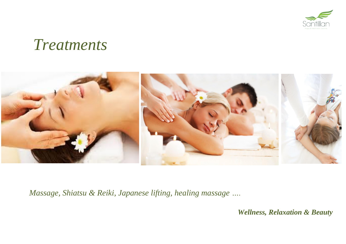

# *Treatments*



*Massage, Shiatsu & Reiki, Japanese lifting, healing massage ….*

 *Wellness, Relaxation & Beauty*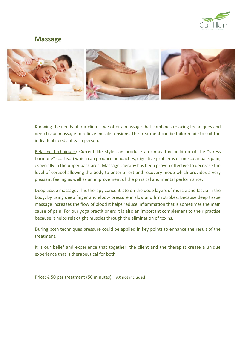

### **Massage**



Knowing the needs of our clients, we offer a massage that combines relaxing techniques and deep tissue massage to relieve muscle tensions. The treatment can be tailor made to suit the individual needs of each person.

Relaxing techniques: Current life style can produce an unhealthy build-up of the "stress hormone" (cortisol) which can produce headaches, digestive problems or muscular back pain, especially in the upper back area. Massage therapy has been proven effective to decrease the level of cortisol allowing the body to enter a rest and recovery mode which provides a very pleasant feeling as well as an improvement of the physical and mental performance.

Deep tissue massage: This therapy concentrate on the deep layers of muscle and fascia in the body, by using deep finger and elbow pressure in slow and firm strokes. Because deep tissue massage increases the flow of blood it helps reduce inflammation that is sometimes the main cause of pain. For our yoga practitioners it is also an important complement to their practise because it helps relax tight muscles through the elimination of toxins.

During both techniques pressure could be applied in key points to enhance the result of the treatment.

It is our belief and experience that together, the client and the therapist create a unique experience that is therapeutical for both.

Price: € 50 per treatment (50 minutes). TAX not included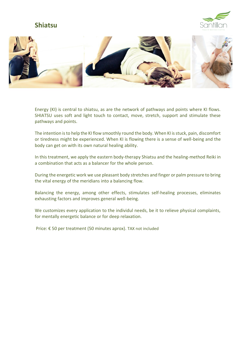## **Shiatsu**





Energy (KI) is central to shiatsu, as are the network of pathways and points where KI flows. SHIATSU uses soft and light touch to contact, move, stretch, support and stimulate these pathways and points.

The intention is to help the KI flow smoothly round the body. When KI is stuck, pain, discomfort or tiredness might be experienced. When KI is flowing there is a sense of well-being and the body can get on with its own natural healing ability.

In this treatment, we apply the eastern body-therapy Shiatsu and the healing-method Reiki in a combination that acts as a balancer for the whole person.

During the energetic work we use pleasant body stretches and finger or palm pressure to bring the vital energy of the meridians into a balancing flow.

Balancing the energy, among other effects, stimulates self-healing processes, eliminates exhausting factors and improves general well-being.

We customizes every application to the individul needs, be it to relieve physical complaints, for mentally energetic balance or for deep relaxation.

Price: € 50 per treatment (50 minutes aprox). TAX not included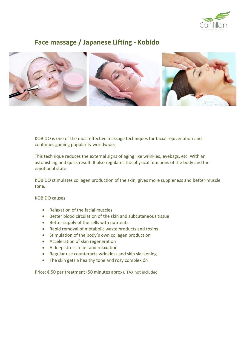

## **Face massage / Japanese Lifting - Kobido**



KOBIDO is one of the most effective massage techniques for facial rejuvenation and continues gaining popularity worldwide.

This technique reduces the external signs of aging like wrinkles, eyebags, etc. With an astonishing and quick result. It also regulates the physical functions of the body and the emotional state.

KOBIDO stimulates collagen production of the skin, gives more suppleness and better muscle tone.

KOBIDO causes:

- Relaxation of the facial muscles
- Better blood circulation of the skin and subcutaneous tissue
- Better supply of the cells with nutrients
- Rapid removal of metabolic waste products and toxins
- Stimulation of the body´s own collagen production
- Acceleration of skin regeneration
- A deep stress relief and relaxation
- Regular use counteracts wrinkless and skin slackening
- The skin gets a healthy tone and rosy complexión

Price: € 50 per treatment (50 minutes aprox). TAX not included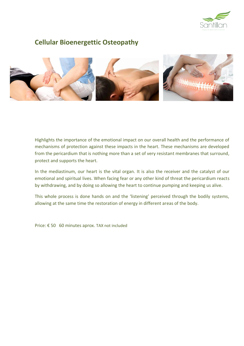

## **Cellular Bioenergettic Osteopathy**



Highlights the importance of the emotional impact on our overall health and the performance of mechanisms of protection against these impacts in the heart. These mechanisms are developed from the pericardium that is nothing more than a set of very resistant membranes that surround, protect and supports the heart.

In the mediastinum, our heart is the vital organ. It is also the receiver and the catalyst of our emotional and spiritual lives. When facing fear or any other kind of threat the pericardium reacts by withdrawing, and by doing so allowing the heart to continue pumping and keeping us alive.

This whole process is done hands on and the 'listening' perceived through the bodily systems, allowing at the same time the restoration of energy in different areas of the body.

Price: € 50 60 minutes aprox. TAX not included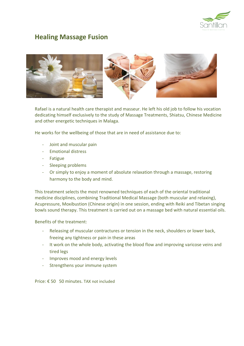

## **Healing Massage Fusion**



Rafael is a natural health care therapist and masseur. He left his old job to follow his vocation dedicating himself exclusively to the study of Massage Treatments, Shiatsu, Chinese Medicine and other energetic techniques in Malaga.

He works for the wellbeing of those that are in need of assistance due to:

- Joint and muscular pain
- Emotional distress
- Fatigue
- Sleeping problems
- Or simply to enjoy a moment of absolute relaxation through a massage, restoring harmony to the body and mind.

This treatment selects the most renowned techniques of each of the oriental traditional medicine disciplines, combining Traditional Medical Massage (both muscular and relaxing), Acupressure, Moxibustion (Chinese origin) in one session, ending with Reiki and Tibetan singing bowls sound therapy. This treatment is carried out on a massage bed with natural essential oils.

#### Benefits of the treatment:

- Releasing of muscular contractures or tension in the neck, shoulders or lower back, freeing any tightness or pain in these areas
- It work on the whole body, activating the blood flow and improving varicose veins and tired legs
- Improves mood and energy levels
- Strengthens your immune system

Price: € 50 50 minutes. TAX not included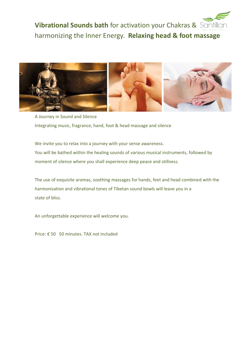



A Journey in Sound and Silence Integrating music, fragrance, hand, foot & head massage and silence

We invite you to relax into a journey with your sense awareness. You will be bathed within the healing sounds of various musical instruments, followed by moment of silence where you shall experience deep peace and stillness.

The use of exquisite aromas, soothing massages for hands, feet and head combined with the harmonisation and vibrational tones of Tibetan sound bowls will leave you in a state of bliss.

An unforgettable experience will welcome you.

Price: € 50 50 minutes. TAX not included